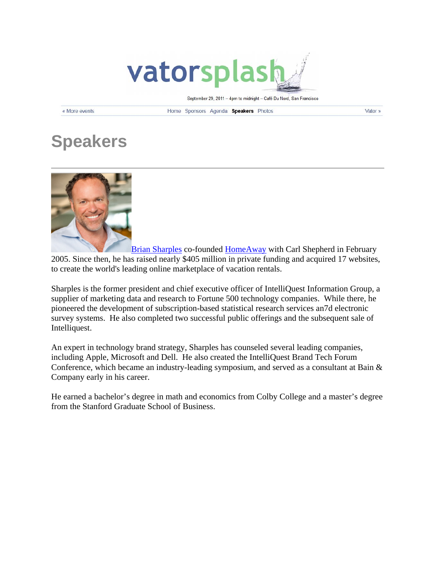

September 29, 2011 - 4pm to midnight - Café Du Nord, San Francisco

« More events

Home Sponsors Agenda Speakers Photos

Vator »

## **Speakers**



Brian Sharples co-founded HomeAway with Carl Shepherd in February 2005. Since then, he has raised nearly \$405 million in private funding and acquired 17 websites, to create the world's leading online marketplace of vacation rentals.

Sharples is the former president and chief executive officer of IntelliQuest Information Group, a supplier of marketing data and research to Fortune 500 technology companies. While there, he pioneered the development of subscription-based statistical research services an7d electronic survey systems. He also completed two successful public offerings and the subsequent sale of Intelliquest.

An expert in technology brand strategy, Sharples has counseled several leading companies, including Apple, Microsoft and Dell. He also created the IntelliQuest Brand Tech Forum Conference, which became an industry-leading symposium, and served as a consultant at Bain & Company early in his career.

He earned a bachelor's degree in math and economics from Colby College and a master's degree from the Stanford Graduate School of Business.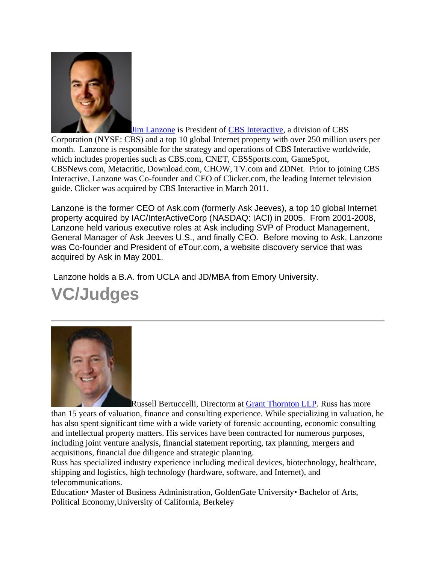

Jim Lanzone is President of CBS Interactive, a division of CBS Corporation (NYSE: CBS) and a top 10 global Internet property with over 250 million users per month. Lanzone is responsible for the strategy and operations of CBS Interactive worldwide, which includes properties such as CBS.com, CNET, CBSSports.com, GameSpot, CBSNews.com, Metacritic, Download.com, CHOW, TV.com and ZDNet. Prior to joining CBS Interactive, Lanzone was Co-founder and CEO of Clicker.com, the leading Internet television guide. Clicker was acquired by CBS Interactive in March 2011.

Lanzone is the former CEO of Ask.com (formerly Ask Jeeves), a top 10 global Internet property acquired by IAC/InterActiveCorp (NASDAQ: IACI) in 2005. From 2001-2008, Lanzone held various executive roles at Ask including SVP of Product Management, General Manager of Ask Jeeves U.S., and finally CEO. Before moving to Ask, Lanzone was Co-founder and President of eTour.com, a website discovery service that was acquired by Ask in May 2001.

Lanzone holds a B.A. from UCLA and JD/MBA from Emory University.

## **VC/Judges**



Russell Bertuccelli, Directorm at Grant Thornton LLP. Russ has more than 15 years of valuation, finance and consulting experience. While specializing in valuation, he has also spent significant time with a wide variety of forensic accounting, economic consulting and intellectual property matters. His services have been contracted for numerous purposes, including joint venture analysis, financial statement reporting, tax planning, mergers and acquisitions, financial due diligence and strategic planning.

Russ has specialized industry experience including medical devices, biotechnology, healthcare, shipping and logistics, high technology (hardware, software, and Internet), and telecommunications.

Education• Master of Business Administration, GoldenGate University• Bachelor of Arts, Political Economy,University of California, Berkeley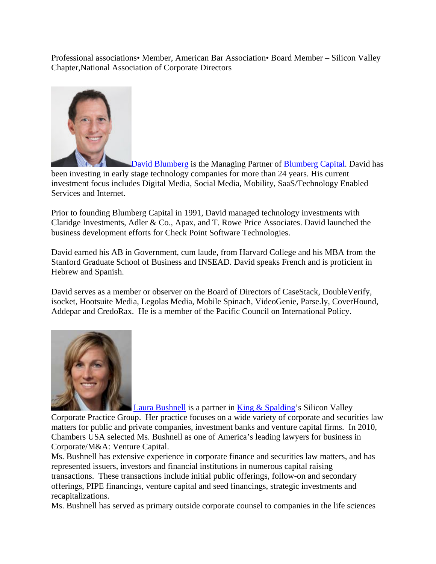Professional associations• Member, American Bar Association• Board Member – Silicon Valley Chapter,National Association of Corporate Directors



David Blumberg is the Managing Partner of Blumberg Capital. David has been investing in early stage technology companies for more than 24 years. His current investment focus includes Digital Media, Social Media, Mobility, SaaS/Technology Enabled Services and Internet.

Prior to founding Blumberg Capital in 1991, David managed technology investments with Claridge Investments, Adler & Co., Apax, and T. Rowe Price Associates. David launched the business development efforts for Check Point Software Technologies.

David earned his AB in Government, cum laude, from Harvard College and his MBA from the Stanford Graduate School of Business and INSEAD. David speaks French and is proficient in Hebrew and Spanish.

David serves as a member or observer on the Board of Directors of CaseStack, DoubleVerify, isocket, Hootsuite Media, Legolas Media, Mobile Spinach, VideoGenie, Parse.ly, CoverHound, Addepar and CredoRax. He is a member of the Pacific Council on International Policy.



Laura Bushnell is a partner in King & Spalding's Silicon Valley Corporate Practice Group. Her practice focuses on a wide variety of corporate and securities law matters for public and private companies, investment banks and venture capital firms. In 2010, Chambers USA selected Ms. Bushnell as one of America's leading lawyers for business in Corporate/M&A: Venture Capital.

Ms. Bushnell has extensive experience in corporate finance and securities law matters, and has represented issuers, investors and financial institutions in numerous capital raising transactions. These transactions include initial public offerings, follow-on and secondary offerings, PIPE financings, venture capital and seed financings, strategic investments and recapitalizations.

Ms. Bushnell has served as primary outside corporate counsel to companies in the life sciences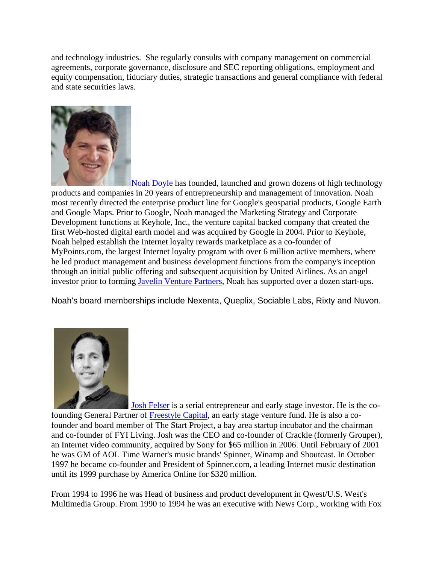and technology industries. She regularly consults with company management on commercial agreements, corporate governance, disclosure and SEC reporting obligations, employment and equity compensation, fiduciary duties, strategic transactions and general compliance with federal and state securities laws.



Noah Doyle has founded, launched and grown dozens of high technology products and companies in 20 years of entrepreneurship and management of innovation. Noah most recently directed the enterprise product line for Google's geospatial products, Google Earth and Google Maps. Prior to Google, Noah managed the Marketing Strategy and Corporate Development functions at Keyhole, Inc., the venture capital backed company that created the first Web-hosted digital earth model and was acquired by Google in 2004. Prior to Keyhole, Noah helped establish the Internet loyalty rewards marketplace as a co-founder of MyPoints.com, the largest Internet loyalty program with over 6 million active members, where he led product management and business development functions from the company's inception through an initial public offering and subsequent acquisition by United Airlines. As an angel investor prior to forming Javelin Venture Partners, Noah has supported over a dozen start-ups.

Noah's board memberships include Nexenta, Queplix, Sociable Labs, Rixty and Nuvon.



Josh Felser is a serial entrepreneur and early stage investor. He is the cofounding General Partner of Freestyle Capital, an early stage venture fund. He is also a cofounder and board member of The Start Project, a bay area startup incubator and the chairman and co-founder of FYI Living. Josh was the CEO and co-founder of Crackle (formerly Grouper), an Internet video community, acquired by Sony for \$65 million in 2006. Until February of 2001 he was GM of AOL Time Warner's music brands' Spinner, Winamp and Shoutcast. In October 1997 he became co-founder and President of Spinner.com, a leading Internet music destination until its 1999 purchase by America Online for \$320 million.

From 1994 to 1996 he was Head of business and product development in Qwest/U.S. West's Multimedia Group. From 1990 to 1994 he was an executive with News Corp., working with Fox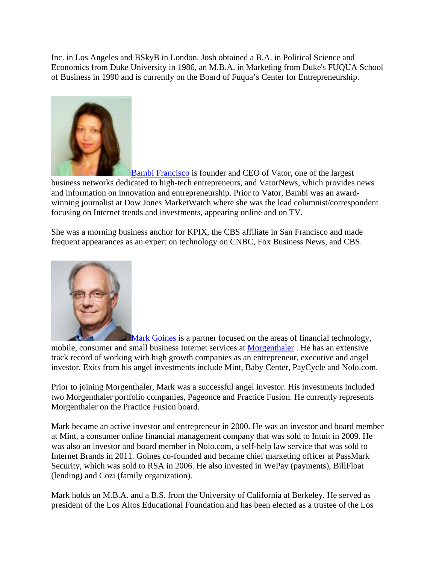Inc. in Los Angeles and BSkyB in London. Josh obtained a B.A. in Political Science and Economics from Duke University in 1986, an M.B.A. in Marketing from Duke's FUQUA School of Business in 1990 and is currently on the Board of Fuqua's Center for Entrepreneurship.



Bambi Francisco is founder and CEO of Vator, one of the largest business networks dedicated to high-tech entrepreneurs, and VatorNews, which provides news and information on innovation and entrepreneurship. Prior to Vator, Bambi was an awardwinning journalist at Dow Jones MarketWatch where she was the lead columnist/correspondent focusing on Internet trends and investments, appearing online and on TV.

She was a morning business anchor for KPIX, the CBS affiliate in San Francisco and made frequent appearances as an expert on technology on CNBC, Fox Business News, and CBS.



**Mark Goines** is a partner focused on the areas of financial technology, mobile, consumer and small business Internet services at Morgenthaler . He has an extensive track record of working with high growth companies as an entrepreneur, executive and angel investor. Exits from his angel investments include Mint, Baby Center, PayCycle and Nolo.com.

Prior to joining Morgenthaler, Mark was a successful angel investor. His investments included two Morgenthaler portfolio companies, Pageonce and Practice Fusion. He currently represents Morgenthaler on the Practice Fusion board.

Mark became an active investor and entrepreneur in 2000. He was an investor and board member at Mint, a consumer online financial management company that was sold to Intuit in 2009. He was also an investor and board member in Nolo.com, a self-help law service that was sold to Internet Brands in 2011. Goines co-founded and became chief marketing officer at PassMark Security, which was sold to RSA in 2006. He also invested in WePay (payments), BillFloat (lending) and Cozi (family organization).

Mark holds an M.B.A. and a B.S. from the University of California at Berkeley. He served as president of the Los Altos Educational Foundation and has been elected as a trustee of the Los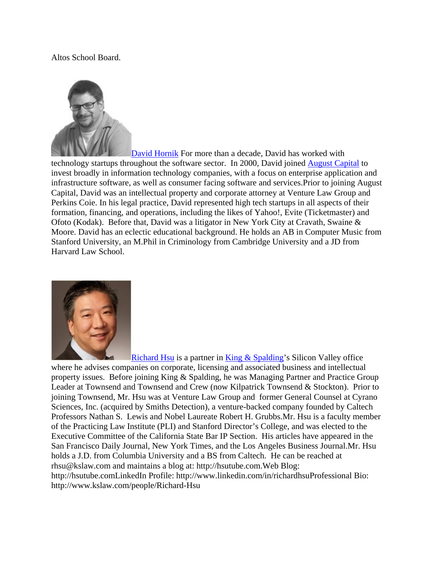## Altos School Board.



David Hornik For more than a decade, David has worked with technology startups throughout the software sector. In 2000, David joined August Capital to invest broadly in information technology companies, with a focus on enterprise application and infrastructure software, as well as consumer facing software and services.Prior to joining August Capital, David was an intellectual property and corporate attorney at Venture Law Group and Perkins Coie. In his legal practice, David represented high tech startups in all aspects of their formation, financing, and operations, including the likes of Yahoo!, Evite (Ticketmaster) and Ofoto (Kodak). Before that, David was a litigator in New York City at Cravath, Swaine & Moore. David has an eclectic educational background. He holds an AB in Computer Music from Stanford University, an M.Phil in Criminology from Cambridge University and a JD from Harvard Law School.



Richard Hsu is a partner in King & Spalding's Silicon Valley office

where he advises companies on corporate, licensing and associated business and intellectual property issues. Before joining King & Spalding, he was Managing Partner and Practice Group Leader at Townsend and Townsend and Crew (now Kilpatrick Townsend & Stockton). Prior to joining Townsend, Mr. Hsu was at Venture Law Group and former General Counsel at Cyrano Sciences, Inc. (acquired by Smiths Detection), a venture-backed company founded by Caltech Professors Nathan S. Lewis and Nobel Laureate Robert H. Grubbs.Mr. Hsu is a faculty member of the Practicing Law Institute (PLI) and Stanford Director's College, and was elected to the Executive Committee of the California State Bar IP Section. His articles have appeared in the San Francisco Daily Journal, New York Times, and the Los Angeles Business Journal.Mr. Hsu holds a J.D. from Columbia University and a BS from Caltech. He can be reached at rhsu@kslaw.com and maintains a blog at: http://hsutube.com.Web Blog: http://hsutube.comLinkedIn Profile: http://www.linkedin.com/in/richardhsuProfessional Bio: http://www.kslaw.com/people/Richard-Hsu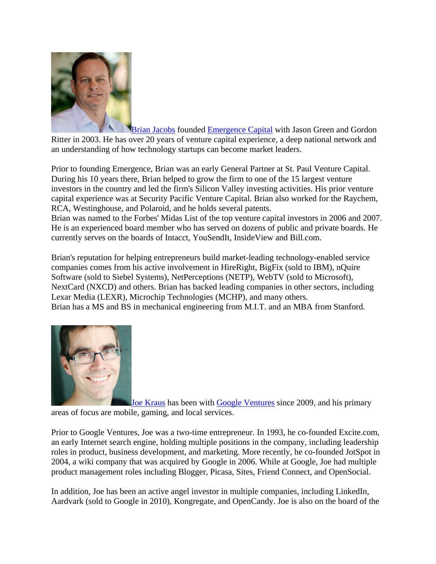

Brian Jacobs founded Emergence Capital with Jason Green and Gordon Ritter in 2003. He has over 20 years of venture capital experience, a deep national network and an understanding of how technology startups can become market leaders.

Prior to founding Emergence, Brian was an early General Partner at St. Paul Venture Capital. During his 10 years there, Brian helped to grow the firm to one of the 15 largest venture investors in the country and led the firm's Silicon Valley investing activities. His prior venture capital experience was at Security Pacific Venture Capital. Brian also worked for the Raychem, RCA, Westinghouse, and Polaroid, and he holds several patents.

Brian was named to the Forbes' Midas List of the top venture capital investors in 2006 and 2007. He is an experienced board member who has served on dozens of public and private boards. He currently serves on the boards of Intacct, YouSendIt, InsideView and Bill.com.

Brian's reputation for helping entrepreneurs build market-leading technology-enabled service companies comes from his active involvement in HireRight, BigFix (sold to IBM), nQuire Software (sold to Siebel Systems), NetPerceptions (NETP), WebTV (sold to Microsoft), NextCard (NXCD) and others. Brian has backed leading companies in other sectors, including Lexar Media (LEXR), Microchip Technologies (MCHP), and many others. Brian has a MS and BS in mechanical engineering from M.I.T. and an MBA from Stanford.



Joe Kraus has been with Google Ventures since 2009, and his primary areas of focus are mobile, gaming, and local services.

Prior to Google Ventures, Joe was a two-time entrepreneur. In 1993, he co-founded Excite.com, an early Internet search engine, holding multiple positions in the company, including leadership roles in product, business development, and marketing. More recently, he co-founded JotSpot in 2004, a wiki company that was acquired by Google in 2006. While at Google, Joe had multiple product management roles including Blogger, Picasa, Sites, Friend Connect, and OpenSocial.

In addition, Joe has been an active angel investor in multiple companies, including LinkedIn, Aardvark (sold to Google in 2010), Kongregate, and OpenCandy. Joe is also on the board of the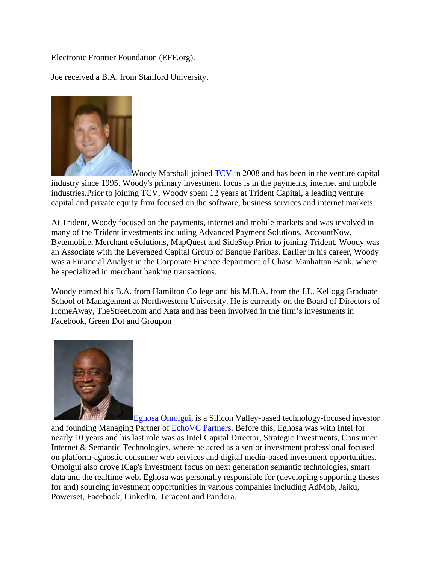## Electronic Frontier Foundation (EFF.org).

Joe received a B.A. from Stanford University.



Woody Marshall joined TCV in 2008 and has been in the venture capital industry since 1995. Woody's primary investment focus is in the payments, internet and mobile industries.Prior to joining TCV, Woody spent 12 years at Trident Capital, a leading venture capital and private equity firm focused on the software, business services and internet markets.

At Trident, Woody focused on the payments, internet and mobile markets and was involved in many of the Trident investments including Advanced Payment Solutions, AccountNow, Bytemobile, Merchant eSolutions, MapQuest and SideStep.Prior to joining Trident, Woody was an Associate with the Leveraged Capital Group of Banque Paribas. Earlier in his career, Woody was a Financial Analyst in the Corporate Finance department of Chase Manhattan Bank, where he specialized in merchant banking transactions.

Woody earned his B.A. from Hamilton College and his M.B.A. from the J.L. Kellogg Graduate School of Management at Northwestern University. He is currently on the Board of Directors of HomeAway, TheStreet.com and Xata and has been involved in the firm's investments in Facebook, Green Dot and Groupon



Eghosa Omoigui, is a Silicon Valley-based technology-focused investor and founding Managing Partner of EchoVC Partners. Before this, Eghosa was with Intel for nearly 10 years and his last role was as Intel Capital Director, Strategic Investments, Consumer Internet & Semantic Technologies, where he acted as a senior investment professional focused on platform-agnostic consumer web services and digital media-based investment opportunities. Omoigui also drove ICap's investment focus on next generation semantic technologies, smart data and the realtime web. Eghosa was personally responsible for (developing supporting theses for and) sourcing investment opportunities in various companies including AdMob, Jaiku, Powerset, Facebook, LinkedIn, Teracent and Pandora.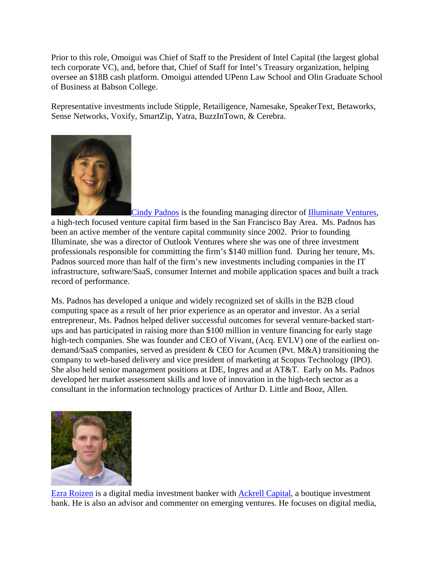Prior to this role, Omoigui was Chief of Staff to the President of Intel Capital (the largest global tech corporate VC), and, before that, Chief of Staff for Intel's Treasury organization, helping oversee an \$18B cash platform. Omoigui attended UPenn Law School and Olin Graduate School of Business at Babson College.

Representative investments include Stipple, Retailigence, Namesake, SpeakerText, Betaworks, Sense Networks, Voxify, SmartZip, Yatra, BuzzInTown, & Cerebra.



Cindy Padnos is the founding managing director of Illuminate Ventures, a high-tech focused venture capital firm based in the San Francisco Bay Area. Ms. Padnos has been an active member of the venture capital community since 2002. Prior to founding Illuminate, she was a director of Outlook Ventures where she was one of three investment professionals responsible for committing the firm's \$140 million fund. During her tenure, Ms. Padnos sourced more than half of the firm's new investments including companies in the IT infrastructure, software/SaaS, consumer Internet and mobile application spaces and built a track record of performance.

Ms. Padnos has developed a unique and widely recognized set of skills in the B2B cloud computing space as a result of her prior experience as an operator and investor. As a serial entrepreneur, Ms. Padnos helped deliver successful outcomes for several venture-backed startups and has participated in raising more than \$100 million in venture financing for early stage high-tech companies. She was founder and CEO of Vivant, (Acq. EVLV) one of the earliest ondemand/SaaS companies, served as president & CEO for Acumen (Pvt. M&A) transitioning the company to web-based delivery and vice president of marketing at Scopus Technology (IPO). She also held senior management positions at IDE, Ingres and at AT&T. Early on Ms. Padnos developed her market assessment skills and love of innovation in the high-tech sector as a consultant in the information technology practices of Arthur D. Little and Booz, Allen.



Ezra Roizen is a digital media investment banker with Ackrell Capital, a boutique investment bank. He is also an advisor and commenter on emerging ventures. He focuses on digital media,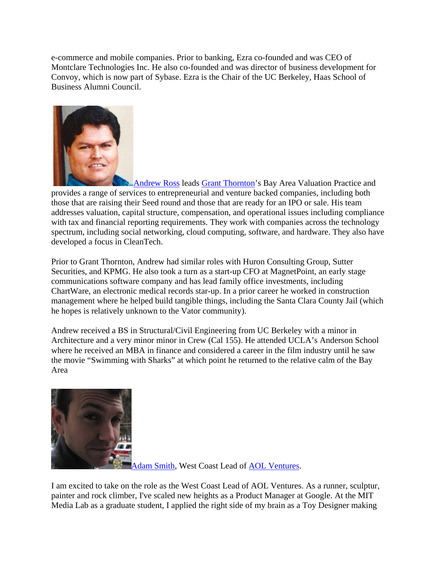e-commerce and mobile companies. Prior to banking, Ezra co-founded and was CEO of Montclare Technologies Inc. He also co-founded and was director of business development for Convoy, which is now part of Sybase. Ezra is the Chair of the UC Berkeley, Haas School of Business Alumni Council.



**Andrew Ross leads Grant Thornton's Bay Area Valuation Practice and** provides a range of services to entrepreneurial and venture backed companies, including both those that are raising their Seed round and those that are ready for an IPO or sale. His team addresses valuation, capital structure, compensation, and operational issues including compliance with tax and financial reporting requirements. They work with companies across the technology spectrum, including social networking, cloud computing, software, and hardware. They also have developed a focus in CleanTech.

Prior to Grant Thornton, Andrew had similar roles with Huron Consulting Group, Sutter Securities, and KPMG. He also took a turn as a start-up CFO at MagnetPoint, an early stage communications software company and has lead family office investments, including ChartWare, an electronic medical records star-up. In a prior career he worked in construction management where he helped build tangible things, including the Santa Clara County Jail (which he hopes is relatively unknown to the Vator community).

Andrew received a BS in Structural/Civil Engineering from UC Berkeley with a minor in Architecture and a very minor minor in Crew (Cal 155). He attended UCLA's Anderson School where he received an MBA in finance and considered a career in the film industry until he saw the movie "Swimming with Sharks" at which point he returned to the relative calm of the Bay Area



Adam Smith, West Coast Lead of AOL Ventures.

I am excited to take on the role as the West Coast Lead of AOL Ventures. As a runner, sculptur, painter and rock climber, I've scaled new heights as a Product Manager at Google. At the MIT Media Lab as a graduate student, I applied the right side of my brain as a Toy Designer making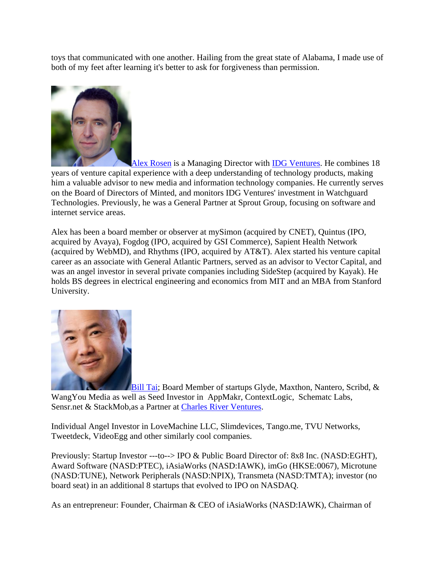toys that communicated with one another. Hailing from the great state of Alabama, I made use of both of my feet after learning it's better to ask for forgiveness than permission.



Alex Rosen is a Managing Director with IDG Ventures. He combines 18 years of venture capital experience with a deep understanding of technology products, making him a valuable advisor to new media and information technology companies. He currently serves on the Board of Directors of Minted, and monitors IDG Ventures' investment in Watchguard Technologies. Previously, he was a General Partner at Sprout Group, focusing on software and internet service areas.

Alex has been a board member or observer at mySimon (acquired by CNET), Quintus (IPO, acquired by Avaya), Fogdog (IPO, acquired by GSI Commerce), Sapient Health Network (acquired by WebMD), and Rhythms (IPO, acquired by AT&T). Alex started his venture capital career as an associate with General Atlantic Partners, served as an advisor to Vector Capital, and was an angel investor in several private companies including SideStep (acquired by Kayak). He holds BS degrees in electrical engineering and economics from MIT and an MBA from Stanford University.



Bill Tai; Board Member of startups Glyde, Maxthon, Nantero, Scribd, & WangYou Media as well as Seed Investor in AppMakr, ContextLogic, Schematc Labs, Sensr.net & StackMob,as a Partner at Charles River Ventures.

Individual Angel Investor in LoveMachine LLC, Slimdevices, Tango.me, TVU Networks, Tweetdeck, VideoEgg and other similarly cool companies.

Previously: Startup Investor ---to--> IPO & Public Board Director of: 8x8 Inc. (NASD:EGHT), Award Software (NASD:PTEC), iAsiaWorks (NASD:IAWK), imGo (HKSE:0067), Microtune (NASD:TUNE), Network Peripherals (NASD:NPIX), Transmeta (NASD:TMTA); investor (no board seat) in an additional 8 startups that evolved to IPO on NASDAQ.

As an entrepreneur: Founder, Chairman & CEO of iAsiaWorks (NASD:IAWK), Chairman of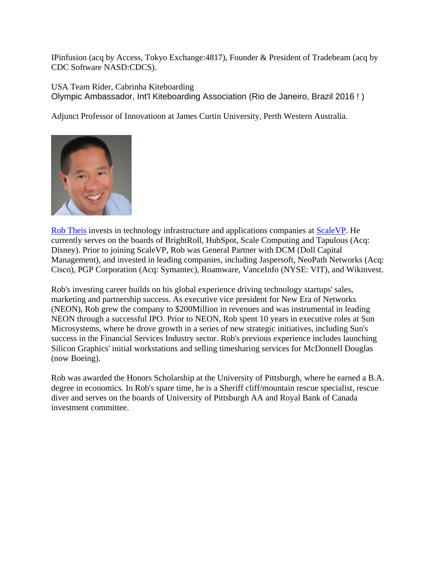IPinfusion (acq by Access, Tokyo Exchange:4817), Founder & President of Tradebeam (acq by CDC Software NASD:CDCS).

USA Team Rider, Cabrinha Kiteboarding Olympic Ambassador, Int'l Kiteboarding Association (Rio de Janeiro, Brazil 2016 ! )

Adjunct Professor of Innovatioon at James Curtin University, Perth Western Australia.



Rob Theis invests in technology infrastructure and applications companies at ScaleVP. He currently serves on the boards of BrightRoll, HubSpot, Scale Computing and Tapulous (Acq: Disney). Prior to joining ScaleVP, Rob was General Partner with DCM (Doll Capital Management), and invested in leading companies, including Jaspersoft, NeoPath Networks (Acq: Cisco), PGP Corporation (Acq: Symantec), Roamware, VanceInfo (NYSE: VIT), and Wikinvest.

Rob's investing career builds on his global experience driving technology startups' sales, marketing and partnership success. As executive vice president for New Era of Networks (NEON), Rob grew the company to \$200Million in revenues and was instrumental in leading NEON through a successful IPO. Prior to NEON, Rob spent 10 years in executive roles at Sun Microsystems, where he drove growth in a series of new strategic initiatives, including Sun's success in the Financial Services Industry sector. Rob's previous experience includes launching Silicon Graphics' initial workstations and selling timesharing services for McDonnell Douglas (now Boeing).

Rob was awarded the Honors Scholarship at the University of Pittsburgh, where he earned a B.A. degree in economics. In Rob's spare time, he is a Sheriff cliff/mountain rescue specialist, rescue diver and serves on the boards of University of Pittsburgh AA and Royal Bank of Canada investment committee.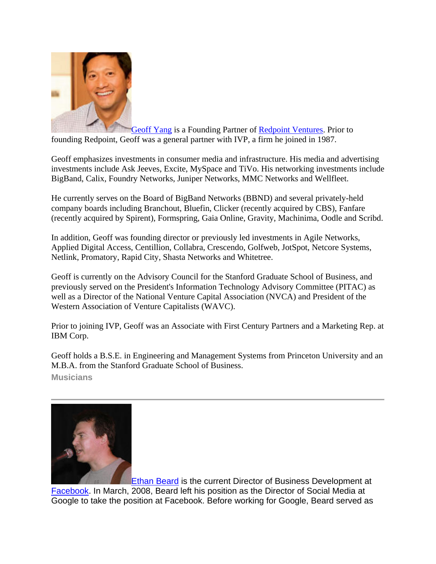

Geoff Yang is a Founding Partner of Redpoint Ventures. Prior to founding Redpoint, Geoff was a general partner with IVP, a firm he joined in 1987.

Geoff emphasizes investments in consumer media and infrastructure. His media and advertising investments include Ask Jeeves, Excite, MySpace and TiVo. His networking investments include BigBand, Calix, Foundry Networks, Juniper Networks, MMC Networks and Wellfleet.

He currently serves on the Board of BigBand Networks (BBND) and several privately-held company boards including Branchout, Bluefin, Clicker (recently acquired by CBS), Fanfare (recently acquired by Spirent), Formspring, Gaia Online, Gravity, Machinima, Oodle and Scribd.

In addition, Geoff was founding director or previously led investments in Agile Networks, Applied Digital Access, Centillion, Collabra, Crescendo, Golfweb, JotSpot, Netcore Systems, Netlink, Promatory, Rapid City, Shasta Networks and Whitetree.

Geoff is currently on the Advisory Council for the Stanford Graduate School of Business, and previously served on the President's Information Technology Advisory Committee (PITAC) as well as a Director of the National Venture Capital Association (NVCA) and President of the Western Association of Venture Capitalists (WAVC).

Prior to joining IVP, Geoff was an Associate with First Century Partners and a Marketing Rep. at IBM Corp.

Geoff holds a B.S.E. in Engineering and Management Systems from Princeton University and an M.B.A. from the Stanford Graduate School of Business. **Musicians**



Ethan Beard is the current Director of Business Development at Facebook. In March, 2008, Beard left his position as the Director of Social Media at Google to take the position at Facebook. Before working for Google, Beard served as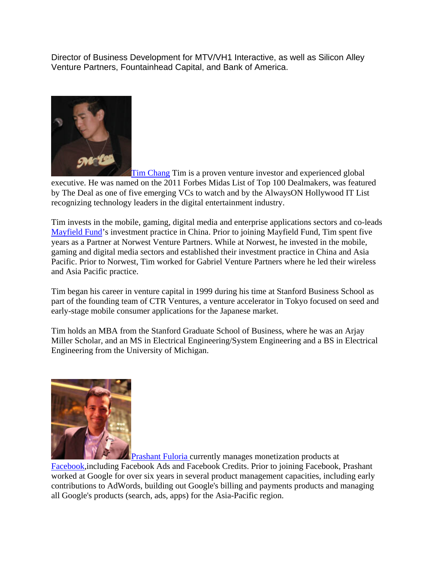Director of Business Development for MTV/VH1 Interactive, as well as Silicon Alley Venture Partners, Fountainhead Capital, and Bank of America.



**Tim Chang Tim** is a proven venture investor and experienced global

executive. He was named on the 2011 Forbes Midas List of Top 100 Dealmakers, was featured by The Deal as one of five emerging VCs to watch and by the AlwaysON Hollywood IT List recognizing technology leaders in the digital entertainment industry.

Tim invests in the mobile, gaming, digital media and enterprise applications sectors and co-leads Mayfield Fund's investment practice in China. Prior to joining Mayfield Fund, Tim spent five years as a Partner at Norwest Venture Partners. While at Norwest, he invested in the mobile, gaming and digital media sectors and established their investment practice in China and Asia Pacific. Prior to Norwest, Tim worked for Gabriel Venture Partners where he led their wireless and Asia Pacific practice.

Tim began his career in venture capital in 1999 during his time at Stanford Business School as part of the founding team of CTR Ventures, a venture accelerator in Tokyo focused on seed and early-stage mobile consumer applications for the Japanese market.

Tim holds an MBA from the Stanford Graduate School of Business, where he was an Arjay Miller Scholar, and an MS in Electrical Engineering/System Engineering and a BS in Electrical Engineering from the University of Michigan.



**Prashant Fuloria currently manages monetization products at** 

Facebook,including Facebook Ads and Facebook Credits. Prior to joining Facebook, Prashant worked at Google for over six years in several product management capacities, including early contributions to AdWords, building out Google's billing and payments products and managing all Google's products (search, ads, apps) for the Asia-Pacific region.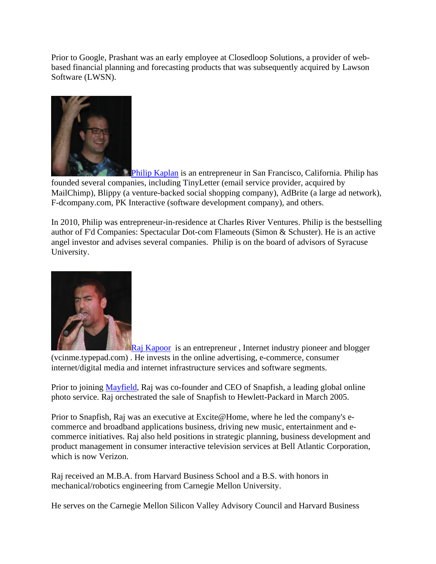Prior to Google, Prashant was an early employee at Closedloop Solutions, a provider of webbased financial planning and forecasting products that was subsequently acquired by Lawson Software (LWSN).



Philip Kaplan is an entrepreneur in San Francisco, California. Philip has founded several companies, including TinyLetter (email service provider, acquired by MailChimp), Blippy (a venture-backed social shopping company), AdBrite (a large ad network), F-dcompany.com, PK Interactive (software development company), and others.

In 2010, Philip was entrepreneur-in-residence at Charles River Ventures. Philip is the bestselling author of F'd Companies: Spectacular Dot-com Flameouts (Simon & Schuster). He is an active angel investor and advises several companies. Philip is on the board of advisors of Syracuse University.



**Raj Kapoor** is an entrepreneur, Internet industry pioneer and blogger (vcinme.typepad.com) . He invests in the online advertising, e-commerce, consumer internet/digital media and internet infrastructure services and software segments.

Prior to joining Mayfield, Raj was co-founder and CEO of Snapfish, a leading global online photo service. Raj orchestrated the sale of Snapfish to Hewlett-Packard in March 2005.

Prior to Snapfish, Raj was an executive at Excite@Home, where he led the company's ecommerce and broadband applications business, driving new music, entertainment and ecommerce initiatives. Raj also held positions in strategic planning, business development and product management in consumer interactive television services at Bell Atlantic Corporation, which is now Verizon.

Raj received an M.B.A. from Harvard Business School and a B.S. with honors in mechanical/robotics engineering from Carnegie Mellon University.

He serves on the Carnegie Mellon Silicon Valley Advisory Council and Harvard Business